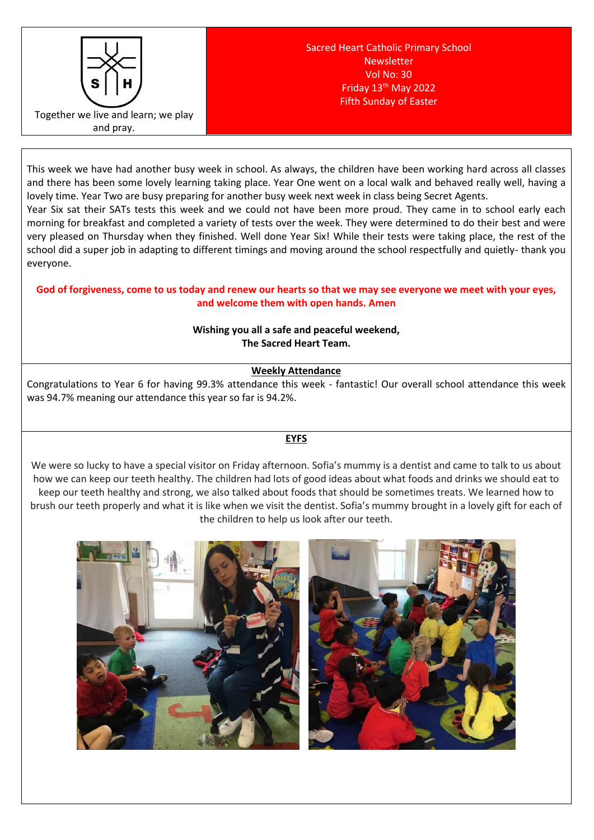

This week we have had another busy week in school. As always, the children have been working hard across all classes and there has been some lovely learning taking place. Year One went on a local walk and behaved really well, having a lovely time. Year Two are busy preparing for another busy week next week in class being Secret Agents.

Year Six sat their SATs tests this week and we could not have been more proud. They came in to school early each morning for breakfast and completed a variety of tests over the week. They were determined to do their best and were very pleased on Thursday when they finished. Well done Year Six! While their tests were taking place, the rest of the school did a super job in adapting to different timings and moving around the school respectfully and quietly- thank you everyone.

## **God of forgiveness, come to us today and renew our hearts so that we may see everyone we meet with your eyes, and welcome them with open hands. Amen**

# **Wishing you all a safe and peaceful weekend, The Sacred Heart Team.**

# **Weekly Attendance**

Congratulations to Year 6 for having 99.3% attendance this week - fantastic! Our overall school attendance this week was 94.7% meaning our attendance this year so far is 94.2%.

# **EYFS**

We were so lucky to have a special visitor on Friday afternoon. Sofia's mummy is a dentist and came to talk to us about how we can keep our teeth healthy. The children had lots of good ideas about what foods and drinks we should eat to keep our teeth healthy and strong, we also talked about foods that should be sometimes treats. We learned how to brush our teeth properly and what it is like when we visit the dentist. Sofia's mummy brought in a lovely gift for each of the children to help us look after our teeth.

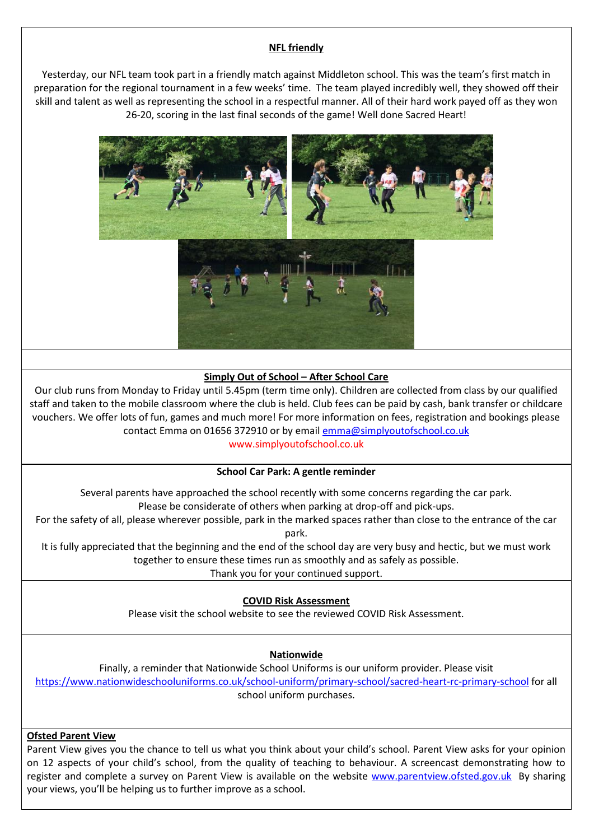#### **NFL friendly**

Yesterday, our NFL team took part in a friendly match against Middleton school. This was the team's first match in preparation for the regional tournament in a few weeks' time. The team played incredibly well, they showed off their skill and talent as well as representing the school in a respectful manner. All of their hard work payed off as they won 26-20, scoring in the last final seconds of the game! Well done Sacred Heart!



#### **Simply Out of School – After School Care**

Our club runs from Monday to Friday until 5.45pm (term time only). Children are collected from class by our qualified staff and taken to the mobile classroom where the club is held. Club fees can be paid by cash, bank transfer or childcare vouchers. We offer lots of fun, games and much more! For more information on fees, registration and bookings please contact Emma on 01656 372910 or by email [emma@simplyoutofschool.co.uk](mailto:emma@simplyoutofschool.co.uk)

www.simplyoutofschool.co.uk

#### **School Car Park: A gentle reminder**

Several parents have approached the school recently with some concerns regarding the car park. Please be considerate of others when parking at drop-off and pick-ups.

For the safety of all, please wherever possible, park in the marked spaces rather than close to the entrance of the car park.

It is fully appreciated that the beginning and the end of the school day are very busy and hectic, but we must work together to ensure these times run as smoothly and as safely as possible. Thank you for your continued support.

## **COVID Risk Assessment**

Please visit the school website to see the reviewed COVID Risk Assessment.

## **Nationwide**

Finally, a reminder that Nationwide School Uniforms is our uniform provider. Please visit <https://www.nationwideschooluniforms.co.uk/school-uniform/primary-school/sacred-heart-rc-primary-school> for all school uniform purchases.

#### **Ofsted Parent View**

Parent View gives you the chance to tell us what you think about your child's school. Parent View asks for your opinion on 12 aspects of your child's school, from the quality of teaching to behaviour. A screencast demonstrating how to register and complete a survey on Parent View is available on the website [www.parentview.ofsted.gov.uk](http://www.parentview.ofsted.gov.uk/) By sharing your views, you'll be helping us to further improve as a school.